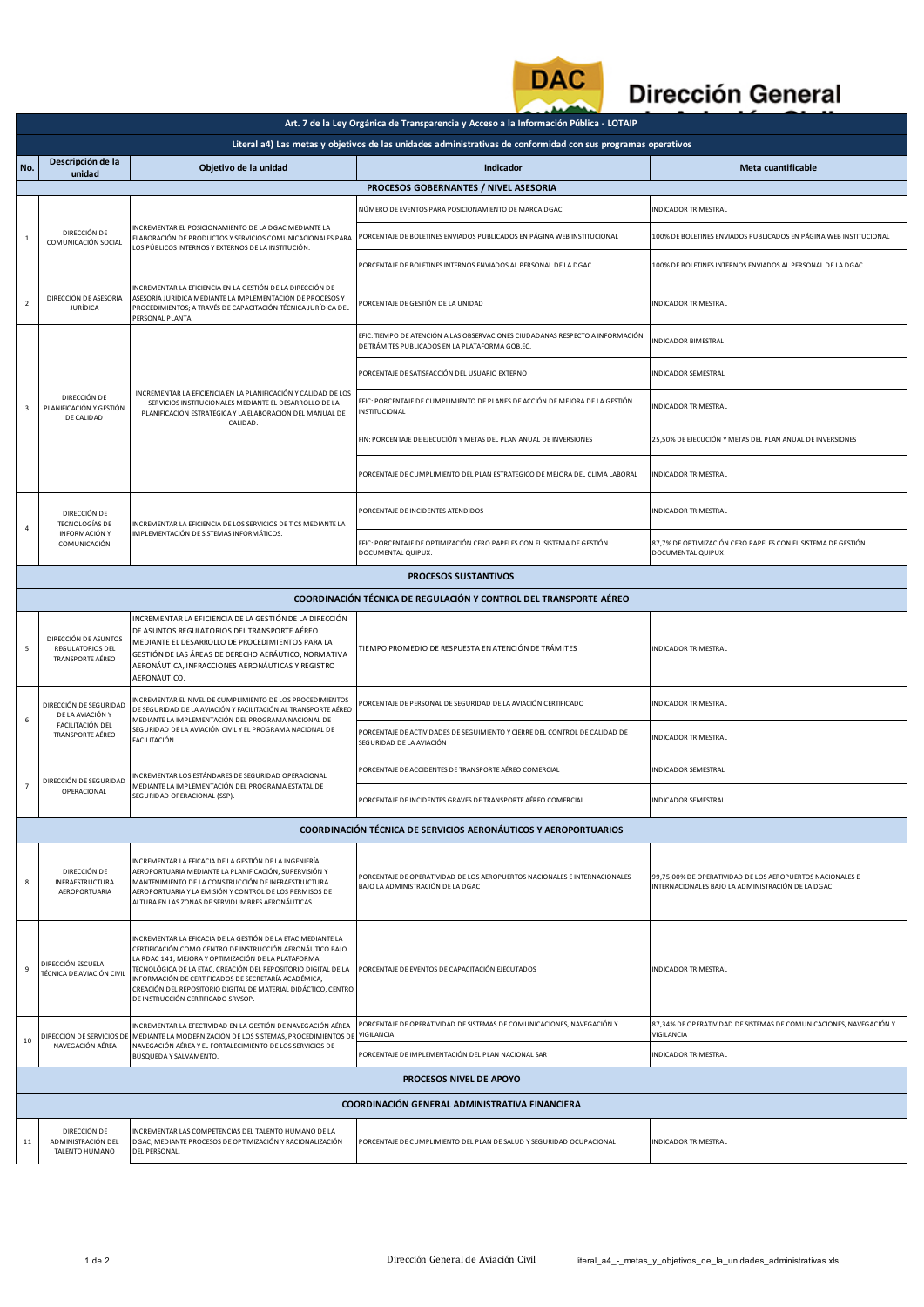

## **Dirección General**

|                                                                                                               | Art. 7 de la Ley Orgánica de Transparencia y Acceso a la Información Pública - LOTAIP                                                                                                                             |                                                                                                                                                                                                                                                                                                                                                                                                                    |                                                                                                                                   |                                                                                                                |  |  |  |  |
|---------------------------------------------------------------------------------------------------------------|-------------------------------------------------------------------------------------------------------------------------------------------------------------------------------------------------------------------|--------------------------------------------------------------------------------------------------------------------------------------------------------------------------------------------------------------------------------------------------------------------------------------------------------------------------------------------------------------------------------------------------------------------|-----------------------------------------------------------------------------------------------------------------------------------|----------------------------------------------------------------------------------------------------------------|--|--|--|--|
| Literal a4) Las metas y objetivos de las unidades administrativas de conformidad con sus programas operativos |                                                                                                                                                                                                                   |                                                                                                                                                                                                                                                                                                                                                                                                                    |                                                                                                                                   |                                                                                                                |  |  |  |  |
| No.                                                                                                           | Descripción de la<br>unidad                                                                                                                                                                                       | Objetivo de la unidad                                                                                                                                                                                                                                                                                                                                                                                              | <b>Indicador</b>                                                                                                                  | Meta cuantificable                                                                                             |  |  |  |  |
|                                                                                                               | PROCESOS GOBERNANTES / NIVEL ASESORIA                                                                                                                                                                             |                                                                                                                                                                                                                                                                                                                                                                                                                    |                                                                                                                                   |                                                                                                                |  |  |  |  |
|                                                                                                               |                                                                                                                                                                                                                   |                                                                                                                                                                                                                                                                                                                                                                                                                    | NÚMERO DE EVENTOS PARA POSICIONAMIENTO DE MARCA DGAC                                                                              | <b>INDICADOR TRIMESTRAL</b>                                                                                    |  |  |  |  |
| $\mathbf{1}$                                                                                                  | INCREMENTAR EL POSICIONAMIENTO DE LA DGAC MEDIANTE LA<br>DIRECCIÓN DE<br>ELABORACIÓN DE PRODUCTOS Y SERVICIOS COMUNICACIONALES PARA<br>COMUNICACIÓN SOCIAL<br>LOS PÚBLICOS INTERNOS Y EXTERNOS DE LA INSTITUCIÓN. | PORCENTAJE DE BOLETINES ENVIADOS PUBLICADOS EN PÁGINA WEB INSTITUCIONAL                                                                                                                                                                                                                                                                                                                                            | 100% DE BOLETINES ENVIADOS PUBLICADOS EN PÁGINA WEB INSTITUCIONAL                                                                 |                                                                                                                |  |  |  |  |
|                                                                                                               |                                                                                                                                                                                                                   |                                                                                                                                                                                                                                                                                                                                                                                                                    | PORCENTAJE DE BOLETINES INTERNOS ENVIADOS AL PERSONAL DE LA DGAC                                                                  | 100% DE BOLETINES INTERNOS ENVIADOS AL PERSONAL DE LA DGAC                                                     |  |  |  |  |
| $\overline{2}$                                                                                                | DIRECCIÓN DE ASESORÍA<br><b>JURÍDICA</b>                                                                                                                                                                          | INCREMENTAR LA EFICIENCIA EN LA GESTIÓN DE LA DIRECCIÓN DE<br>ASESORÍA JURÍDICA MEDIANTE LA IMPLEMENTACIÓN DE PROCESOS Y<br>PROCEDIMIENTOS; A TRAVÉS DE CAPACITACIÓN TÉCNICA JURÍDICA DEL<br>PERSONAL PLANTA.                                                                                                                                                                                                      | PORCENTAJE DE GESTIÓN DE LA UNIDAD                                                                                                | <b>INDICADOR TRIMESTRAL</b>                                                                                    |  |  |  |  |
| $\overline{\mathbf{3}}$                                                                                       | DIRECCIÓN DE<br>PLANIFICACIÓN Y GESTIÓN<br>DE CALIDAD                                                                                                                                                             | INCREMENTAR LA EFICIENCIA EN LA PLANIFICACIÓN Y CALIDAD DE LOS<br>SERVICIOS INSTITUCIONALES MEDIANTE EL DESARROLLO DE LA<br>PLANIFICACIÓN ESTRATÉGICA Y LA ELABORACIÓN DEL MANUAL DE<br>CALIDAD.                                                                                                                                                                                                                   | EFIC: TIEMPO DE ATENCIÓN A LAS OBSERVACIONES CIUDADANAS RESPECTO A INFORMACIÓN<br>DE TRÁMITES PUBLICADOS EN LA PLATAFORMA GOB.EC. | <b>NDICADOR BIMESTRAL</b>                                                                                      |  |  |  |  |
|                                                                                                               |                                                                                                                                                                                                                   |                                                                                                                                                                                                                                                                                                                                                                                                                    | PORCENTAJE DE SATISFACCIÓN DEL USUARIO EXTERNO                                                                                    | <b>INDICADOR SEMESTRAL</b>                                                                                     |  |  |  |  |
|                                                                                                               |                                                                                                                                                                                                                   |                                                                                                                                                                                                                                                                                                                                                                                                                    | EFIC: PORCENTAJE DE CUMPLIMIENTO DE PLANES DE ACCIÓN DE MEJORA DE LA GESTIÓN<br><b>INSTITUCIONAL</b>                              | <b>INDICADOR TRIMESTRAL</b>                                                                                    |  |  |  |  |
|                                                                                                               |                                                                                                                                                                                                                   |                                                                                                                                                                                                                                                                                                                                                                                                                    | FIN: PORCENTAJE DE EJECUCIÓN Y METAS DEL PLAN ANUAL DE INVERSIONES                                                                | 25,50% DE EJECUCIÓN Y METAS DEL PLAN ANUAL DE INVERSIONES                                                      |  |  |  |  |
|                                                                                                               |                                                                                                                                                                                                                   |                                                                                                                                                                                                                                                                                                                                                                                                                    | PORCENTAJE DE CUMPLIMIENTO DEL PLAN ESTRATEGICO DE MEJORA DEL CLIMA LABORAL                                                       | <b>INDICADOR TRIMESTRAL</b>                                                                                    |  |  |  |  |
| $\overline{4}$                                                                                                | DIRECCIÓN DE<br><b>TECNOLOGÍAS DE</b>                                                                                                                                                                             | INCREMENTAR LA EFICIENCIA DE LOS SERVICIOS DE TICS MEDIANTE LA<br>IMPLEMENTACIÓN DE SISTEMAS INFORMÁTICOS.                                                                                                                                                                                                                                                                                                         | PORCENTAJE DE INCIDENTES ATENDIDOS                                                                                                | <b>INDICADOR TRIMESTRAL</b>                                                                                    |  |  |  |  |
|                                                                                                               | INFORMACIÓN Y<br>COMUNICACIÓN                                                                                                                                                                                     |                                                                                                                                                                                                                                                                                                                                                                                                                    | EFIC: PORCENTAJE DE OPTIMIZACIÓN CERO PAPELES CON EL SISTEMA DE GESTIÓN<br>DOCUMENTAL QUIPUX.                                     | 87,7% DE OPTIMIZACIÓN CERO PAPELES CON EL SISTEMA DE GESTIÓN<br>DOCUMENTAL QUIPUX.                             |  |  |  |  |
|                                                                                                               |                                                                                                                                                                                                                   |                                                                                                                                                                                                                                                                                                                                                                                                                    | <b>PROCESOS SUSTANTIVOS</b>                                                                                                       |                                                                                                                |  |  |  |  |
|                                                                                                               |                                                                                                                                                                                                                   |                                                                                                                                                                                                                                                                                                                                                                                                                    | COORDINACIÓN TÉCNICA DE REGULACIÓN Y CONTROL DEL TRANSPORTE AÉREO                                                                 |                                                                                                                |  |  |  |  |
| 5                                                                                                             | DIRECCIÓN DE ASUNTOS<br>REGULATORIOS DEL<br>TRANSPORTE AÉREO                                                                                                                                                      | INCREMENTAR LA EFICIENCIA DE LA GESTIÓN DE LA DIRECCIÓN<br>DE ASUNTOS REGULATORIOS DEL TRANSPORTE AÉREO<br>MEDIANTE EL DESARROLLO DE PROCEDIMIENTOS PARA LA<br>GESTIÓN DE LAS ÁREAS DE DERECHO AERÁUTICO, NORMATIVA<br>AERONÁUTICA, INFRACCIONES AERONÁUTICAS Y REGISTRO<br>AERONÁUTICO.                                                                                                                           | TIEMPO PROMEDIO DE RESPUESTA EN ATENCIÓN DE TRÁMITES                                                                              | <b>INDICADOR TRIMESTRAL</b>                                                                                    |  |  |  |  |
|                                                                                                               | DIRECCIÓN DE SEGURIDAD<br>DE LA AVIACIÓN Y                                                                                                                                                                        | INCREMENTAR EL NIVEL DE CUMPLIMIENTO DE LOS PROCEDIMIENTOS<br>DE SEGURIDAD DE LA AVIACIÓN Y FACILITACIÓN AL TRANSPORTE AÉREO<br>MEDIANTE LA IMPLEMENTACIÓN DEL PROGRAMA NACIONAL DE<br>SEGURIDAD DE LA AVIACIÓN CIVIL Y EL PROGRAMA NACIONAL DE<br>FACILITACIÓN.                                                                                                                                                   | PORCENTAJE DE PERSONAL DE SEGURIDAD DE LA AVIACIÓN CERTIFICADO                                                                    | INDICADOR TRIMESTRAL                                                                                           |  |  |  |  |
| 6                                                                                                             | FACILITACIÓN DEL<br>TRANSPORTE AÉREO                                                                                                                                                                              |                                                                                                                                                                                                                                                                                                                                                                                                                    | PORCENTAJE DE ACTIVIDADES DE SEGUIMIENTO Y CIERRE DEL CONTROL DE CALIDAD DE<br>SEGURIDAD DE LA AVIACIÓN                           | <b>INDICADOR TRIMESTRAL</b>                                                                                    |  |  |  |  |
| $\overline{7}$                                                                                                | DIRECCIÓN DE SEGURIDAD<br>OPERACIONAL                                                                                                                                                                             | INCREMENTAR LOS ESTÁNDARES DE SEGURIDAD OPERACIONAL<br>MEDIANTE LA IMPLEMENTACIÓN DEL PROGRAMA ESTATAL DE<br>SEGURIDAD OPERACIONAL (SSP).                                                                                                                                                                                                                                                                          | PORCENTAJE DE ACCIDENTES DE TRANSPORTE AÉREO COMERCIAL                                                                            | <b>INDICADOR SEMESTRAL</b>                                                                                     |  |  |  |  |
|                                                                                                               |                                                                                                                                                                                                                   |                                                                                                                                                                                                                                                                                                                                                                                                                    | PORCENTAJE DE INCIDENTES GRAVES DE TRANSPORTE AÉREO COMERCIAL                                                                     | <b>INDICADOR SEMESTRAL</b>                                                                                     |  |  |  |  |
|                                                                                                               |                                                                                                                                                                                                                   |                                                                                                                                                                                                                                                                                                                                                                                                                    | COORDINACIÓN TÉCNICA DE SERVICIOS AERONÁUTICOS Y AEROPORTUARIOS                                                                   |                                                                                                                |  |  |  |  |
| 8                                                                                                             | DIRECCIÓN DE<br>INFRAESTRUCTURA<br>AEROPORTUARIA                                                                                                                                                                  | INCREMENTAR LA EFICACIA DE LA GESTIÓN DE LA INGENIERÍA<br>AEROPORTUARIA MEDIANTE LA PLANIFICACIÓN, SUPERVISIÓN Y<br>MANTENIMIENTO DE LA CONSTRUCCIÓN DE INFRAESTRUCTURA<br>AEROPORTUARIA Y LA EMISIÓN Y CONTROL DE LOS PERMISOS DE<br>ALTURA EN LAS ZONAS DE SERVIDUMBRES AERONÁUTICAS.                                                                                                                            | PORCENTAJE DE OPERATIVIDAD DE LOS AEROPUERTOS NACIONALES E INTERNACIONALES<br>BAJO LA ADMINISTRACIÓN DE LA DGAC                   | 99,75,00% DE OPERATIVIDAD DE LOS AEROPUERTOS NACIONALES E<br>INTERNACIONALES BAJO LA ADMINISTRACIÓN DE LA DGAC |  |  |  |  |
| 9                                                                                                             | DIRECCIÓN ESCUELA<br>TÉCNICA DE AVIACIÓN CIVIL                                                                                                                                                                    | INCREMENTAR LA EFICACIA DE LA GESTIÓN DE LA ETAC MEDIANTE LA<br>CERTIFICACIÓN COMO CENTRO DE INSTRUCCIÓN AERONÁUTICO BAJO<br>LA RDAC 141, MEJORA Y OPTIMIZACIÓN DE LA PLATAFORMA<br>TECNOLÓGICA DE LA ETAC, CREACIÓN DEL REPOSITORIO DIGITAL DE LA<br>INFORMACIÓN DE CERTIFICADOS DE SECRETARÍA ACADÉMICA,<br>CREACIÓN DEL REPOSITORIO DIGITAL DE MATERIAL DIDÁCTICO, CENTRO<br>DE INSTRUCCIÓN CERTIFICADO SRVSOP. | PORCENTAJE DE EVENTOS DE CAPACITACIÓN EJECUTADOS                                                                                  | <b>INDICADOR TRIMESTRAL</b>                                                                                    |  |  |  |  |
|                                                                                                               | NAVEGACIÓN AÉREA                                                                                                                                                                                                  | INCREMENTAR LA EFECTIVIDAD EN LA GESTIÓN DE NAVEGACIÓN AÉREA<br>DIRECCIÓN DE SERVICIOS DE MEDIANTE LA MODERNIZACIÓN DE LOS SISTEMAS, PROCEDIMIENTOS DE VIGILANCIA<br>NAVEGACIÓN AÉREA Y EL FORTALECIMIENTO DE LOS SERVICIOS DE<br>BÚSQUEDA Y SALVAMENTO.                                                                                                                                                           | PORCENTAJE DE OPERATIVIDAD DE SISTEMAS DE COMUNICACIONES, NAVEGACIÓN Y                                                            | 87,34% DE OPERATIVIDAD DE SISTEMAS DE COMUNICACIONES, NAVEGACIÓN Y<br>VIGILANCIA                               |  |  |  |  |
| 10                                                                                                            |                                                                                                                                                                                                                   |                                                                                                                                                                                                                                                                                                                                                                                                                    | PORCENTAJE DE IMPLEMENTACIÓN DEL PLAN NACIONAL SAR                                                                                | INDICADOR TRIMESTRAL                                                                                           |  |  |  |  |
|                                                                                                               | PROCESOS NIVEL DE APOYO                                                                                                                                                                                           |                                                                                                                                                                                                                                                                                                                                                                                                                    |                                                                                                                                   |                                                                                                                |  |  |  |  |
|                                                                                                               | COORDINACIÓN GENERAL ADMINISTRATIVA FINANCIERA                                                                                                                                                                    |                                                                                                                                                                                                                                                                                                                                                                                                                    |                                                                                                                                   |                                                                                                                |  |  |  |  |
| 11                                                                                                            | DIRECCIÓN DE<br>ADMINISTRACIÓN DEL<br>TALENTO HUMANO                                                                                                                                                              | INCREMENTAR LAS COMPETENCIAS DEL TALENTO HUMANO DE LA<br>DGAC, MEDIANTE PROCESOS DE OPTIMIZACIÓN Y RACIONALIZACIÓN<br>DEL PERSONAL.                                                                                                                                                                                                                                                                                | PORCENTAJE DE CUMPLIMIENTO DEL PLAN DE SALUD Y SEGURIDAD OCUPACIONAL                                                              | <b>INDICADOR TRIMESTRAL</b>                                                                                    |  |  |  |  |